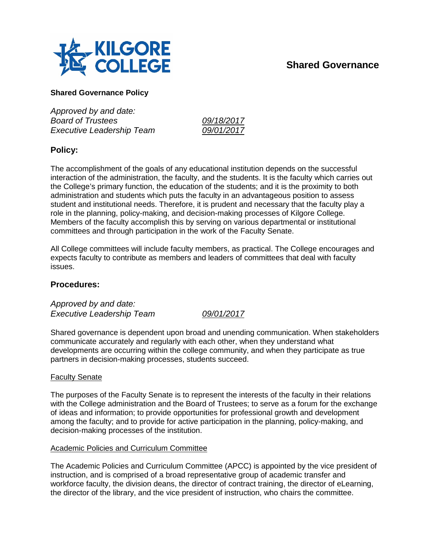

# **Shared Governance**

## **Shared Governance Policy**

*Approved by and date: Board of Trustees 09/18/2017 Executive Leadership Team 09/01/2017*

## **Policy:**

The accomplishment of the goals of any educational institution depends on the successful interaction of the administration, the faculty, and the students. It is the faculty which carries out the College's primary function, the education of the students; and it is the proximity to both administration and students which puts the faculty in an advantageous position to assess student and institutional needs. Therefore, it is prudent and necessary that the faculty play a role in the planning, policy-making, and decision-making processes of Kilgore College. Members of the faculty accomplish this by serving on various departmental or institutional committees and through participation in the work of the Faculty Senate.

All College committees will include faculty members, as practical. The College encourages and expects faculty to contribute as members and leaders of committees that deal with faculty issues.

## **Procedures:**

*Approved by and date: Executive Leadership Team 09/01/2017*

Shared governance is dependent upon broad and unending communication. When stakeholders communicate accurately and regularly with each other, when they understand what developments are occurring within the college community, and when they participate as true partners in decision-making processes, students succeed.

## Faculty Senate

The purposes of the Faculty Senate is to represent the interests of the faculty in their relations with the College administration and the Board of Trustees; to serve as a forum for the exchange of ideas and information; to provide opportunities for professional growth and development among the faculty; and to provide for active participation in the planning, policy-making, and decision-making processes of the institution.

#### Academic Policies and Curriculum Committee

The Academic Policies and Curriculum Committee (APCC) is appointed by the vice president of instruction, and is comprised of a broad representative group of academic transfer and workforce faculty, the division deans, the director of contract training, the director of eLearning, the director of the library, and the vice president of instruction, who chairs the committee.